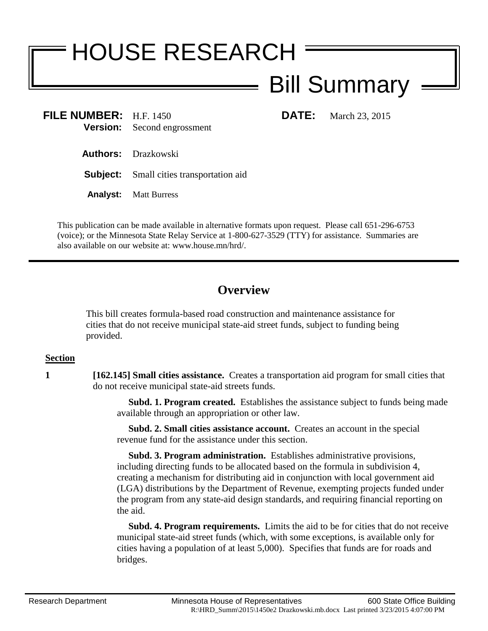# HOUSE RESEARCH

# Bill Summary

**FILE NUMBER:** H.F. 1450 **DATE:** March 23, 2015 **Version:** Second engrossment

**Authors:** Drazkowski

- **Subject:** Small cities transportation aid
- **Analyst:** Matt Burress

This publication can be made available in alternative formats upon request. Please call 651-296-6753 (voice); or the Minnesota State Relay Service at 1-800-627-3529 (TTY) for assistance. Summaries are also available on our website at: www.house.mn/hrd/.

## **Overview**

This bill creates formula-based road construction and maintenance assistance for cities that do not receive municipal state-aid street funds, subject to funding being provided.

### **Section**

**1 [162.145] Small cities assistance.** Creates a transportation aid program for small cities that do not receive municipal state-aid streets funds.

> **Subd. 1. Program created.** Establishes the assistance subject to funds being made available through an appropriation or other law.

 **Subd. 2. Small cities assistance account.** Creates an account in the special revenue fund for the assistance under this section.

 **Subd. 3. Program administration.** Establishes administrative provisions, including directing funds to be allocated based on the formula in subdivision 4, creating a mechanism for distributing aid in conjunction with local government aid (LGA) distributions by the Department of Revenue, exempting projects funded under the program from any state-aid design standards, and requiring financial reporting on the aid.

 **Subd. 4. Program requirements.** Limits the aid to be for cities that do not receive municipal state-aid street funds (which, with some exceptions, is available only for cities having a population of at least 5,000). Specifies that funds are for roads and bridges.